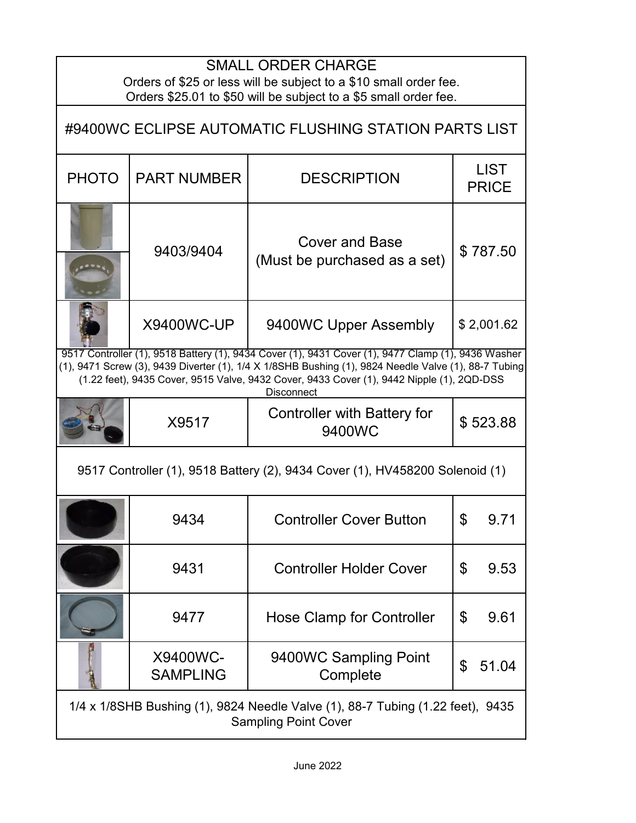| <b>SMALL ORDER CHARGE</b><br>Orders of \$25 or less will be subject to a \$10 small order fee.<br>Orders \$25.01 to \$50 will be subject to a \$5 small order fee.                                                                                                                                                           |                             |                                                       |                             |  |  |
|------------------------------------------------------------------------------------------------------------------------------------------------------------------------------------------------------------------------------------------------------------------------------------------------------------------------------|-----------------------------|-------------------------------------------------------|-----------------------------|--|--|
| #9400WC ECLIPSE AUTOMATIC FLUSHING STATION PARTS LIST                                                                                                                                                                                                                                                                        |                             |                                                       |                             |  |  |
| <b>PHOTO</b>                                                                                                                                                                                                                                                                                                                 | <b>PART NUMBER</b>          | <b>DESCRIPTION</b>                                    | <b>LIST</b><br><b>PRICE</b> |  |  |
|                                                                                                                                                                                                                                                                                                                              | 9403/9404                   | <b>Cover and Base</b><br>(Must be purchased as a set) | \$787.50                    |  |  |
|                                                                                                                                                                                                                                                                                                                              | <b>X9400WC-UP</b>           | 9400WC Upper Assembly                                 | \$2,001.62                  |  |  |
| 9517 Controller (1), 9518 Battery (1), 9434 Cover (1), 9431 Cover (1), 9477 Clamp (1), 9436 Washer<br>(1), 9471 Screw (3), 9439 Diverter (1), 1/4 X 1/8SHB Bushing (1), 9824 Needle Valve (1), 88-7 Tubing<br>(1.22 feet), 9435 Cover, 9515 Valve, 9432 Cover, 9433 Cover (1), 9442 Nipple (1), 2QD-DSS<br><b>Disconnect</b> |                             |                                                       |                             |  |  |
|                                                                                                                                                                                                                                                                                                                              | X9517                       | Controller with Battery for<br>9400WC                 | \$523.88                    |  |  |
| 9517 Controller (1), 9518 Battery (2), 9434 Cover (1), HV458200 Solenoid (1)                                                                                                                                                                                                                                                 |                             |                                                       |                             |  |  |
|                                                                                                                                                                                                                                                                                                                              | 9434                        | <b>Controller Cover Button</b>                        | ъ<br>9.71                   |  |  |
|                                                                                                                                                                                                                                                                                                                              | 9431                        | <b>Controller Holder Cover</b>                        | \$<br>9.53                  |  |  |
|                                                                                                                                                                                                                                                                                                                              | 9477                        | Hose Clamp for Controller                             | \$<br>9.61                  |  |  |
|                                                                                                                                                                                                                                                                                                                              | X9400WC-<br><b>SAMPLING</b> | 9400WC Sampling Point<br>Complete                     | \$<br>51.04                 |  |  |
| 1/4 x 1/8SHB Bushing (1), 9824 Needle Valve (1), 88-7 Tubing (1.22 feet), 9435<br><b>Sampling Point Cover</b>                                                                                                                                                                                                                |                             |                                                       |                             |  |  |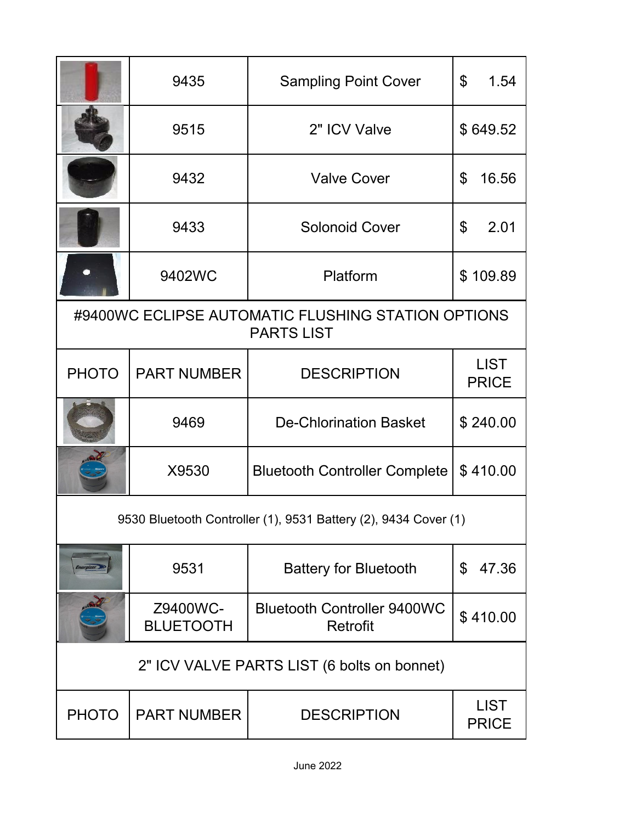|                                                                         | 9435                         | <b>Sampling Point Cover</b>                    | \$<br>1.54                  |  |  |
|-------------------------------------------------------------------------|------------------------------|------------------------------------------------|-----------------------------|--|--|
|                                                                         | 9515                         | 2" ICV Valve                                   | \$649.52                    |  |  |
|                                                                         | 9432                         | <b>Valve Cover</b>                             | \$<br>16.56                 |  |  |
|                                                                         | 9433                         | <b>Solonoid Cover</b>                          | 2.01<br>\$                  |  |  |
|                                                                         | 9402WC                       | Platform                                       | \$109.89                    |  |  |
| #9400WC ECLIPSE AUTOMATIC FLUSHING STATION OPTIONS<br><b>PARTS LIST</b> |                              |                                                |                             |  |  |
| <b>PHOTO</b>                                                            | <b>PART NUMBER</b>           | <b>DESCRIPTION</b>                             | <b>LIST</b><br><b>PRICE</b> |  |  |
|                                                                         | 9469                         | <b>De-Chlorination Basket</b>                  | \$240.00                    |  |  |
|                                                                         | X9530                        | <b>Bluetooth Controller Complete</b>           | \$410.00                    |  |  |
| 9530 Bluetooth Controller (1), 9531 Battery (2), 9434 Cover (1)         |                              |                                                |                             |  |  |
| Energizer.                                                              | 9531                         | <b>Battery for Bluetooth</b>                   | 47.36<br>\$                 |  |  |
|                                                                         | Z9400WC-<br><b>BLUETOOTH</b> | <b>Bluetooth Controller 9400WC</b><br>Retrofit | \$410.00                    |  |  |
| 2" ICV VALVE PARTS LIST (6 bolts on bonnet)                             |                              |                                                |                             |  |  |
| <b>PHOTO</b>                                                            | <b>PART NUMBER</b>           | <b>DESCRIPTION</b>                             | <b>LIST</b><br><b>PRICE</b> |  |  |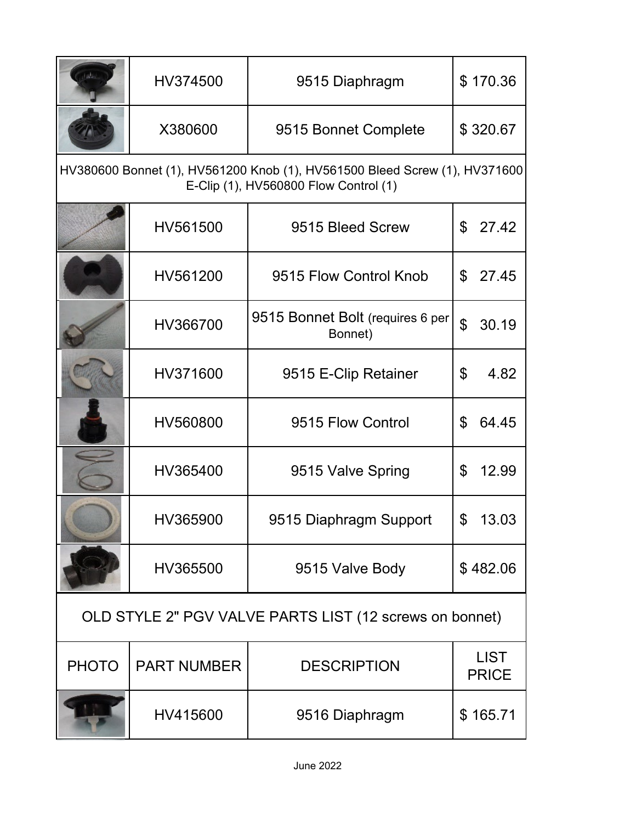|                                                                                                                     | HV374500           | 9515 Diaphragm                              | \$170.36                    |  |  |
|---------------------------------------------------------------------------------------------------------------------|--------------------|---------------------------------------------|-----------------------------|--|--|
|                                                                                                                     | X380600            | 9515 Bonnet Complete                        | \$320.67                    |  |  |
| HV380600 Bonnet (1), HV561200 Knob (1), HV561500 Bleed Screw (1), HV371600<br>E-Clip (1), HV560800 Flow Control (1) |                    |                                             |                             |  |  |
|                                                                                                                     | HV561500           | 9515 Bleed Screw                            | \$<br>27.42                 |  |  |
|                                                                                                                     | HV561200           | 9515 Flow Control Knob                      | \$<br>27.45                 |  |  |
|                                                                                                                     | HV366700           | 9515 Bonnet Bolt (requires 6 per<br>Bonnet) | $\mathfrak{P}$<br>30.19     |  |  |
|                                                                                                                     | HV371600           | 9515 E-Clip Retainer                        | \$<br>4.82                  |  |  |
|                                                                                                                     | HV560800           | 9515 Flow Control                           | 64.45<br>\$                 |  |  |
|                                                                                                                     | HV365400           | 9515 Valve Spring                           | 12.99<br>\$                 |  |  |
|                                                                                                                     | HV365900           | 9515 Diaphragm Support                      | ፍ<br>13.03                  |  |  |
|                                                                                                                     | HV365500           | 9515 Valve Body                             | \$482.06                    |  |  |
| OLD STYLE 2" PGV VALVE PARTS LIST (12 screws on bonnet)                                                             |                    |                                             |                             |  |  |
| <b>PHOTO</b>                                                                                                        | <b>PART NUMBER</b> | <b>DESCRIPTION</b>                          | <b>LIST</b><br><b>PRICE</b> |  |  |
|                                                                                                                     | HV415600           | 9516 Diaphragm                              | \$165.71                    |  |  |